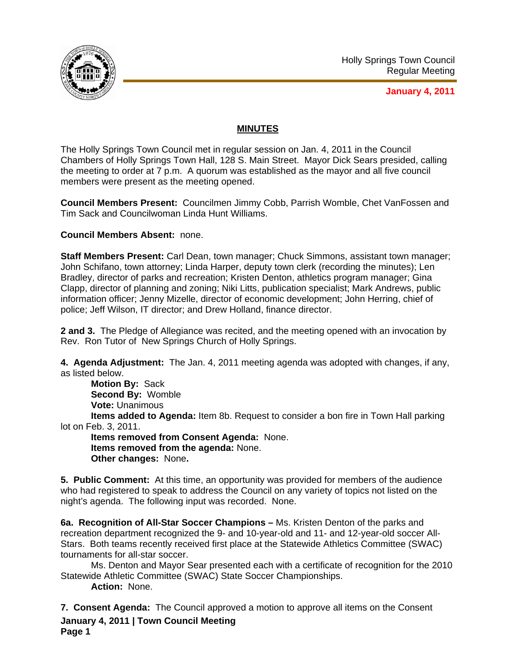

**January 4, 2011**

## **MINUTES**

The Holly Springs Town Council met in regular session on Jan. 4, 2011 in the Council Chambers of Holly Springs Town Hall, 128 S. Main Street. Mayor Dick Sears presided, calling the meeting to order at 7 p.m. A quorum was established as the mayor and all five council members were present as the meeting opened.

**Council Members Present:** Councilmen Jimmy Cobb, Parrish Womble, Chet VanFossen and Tim Sack and Councilwoman Linda Hunt Williams.

**Council Members Absent:** none.

**Staff Members Present:** Carl Dean, town manager; Chuck Simmons, assistant town manager; John Schifano, town attorney; Linda Harper, deputy town clerk (recording the minutes); Len Bradley, director of parks and recreation; Kristen Denton, athletics program manager; Gina Clapp, director of planning and zoning; Niki Litts, publication specialist; Mark Andrews, public information officer; Jenny Mizelle, director of economic development; John Herring, chief of police; Jeff Wilson, IT director; and Drew Holland, finance director.

**2 and 3.** The Pledge of Allegiance was recited, and the meeting opened with an invocation by Rev. Ron Tutor of New Springs Church of Holly Springs.

**4. Agenda Adjustment:** The Jan. 4, 2011 meeting agenda was adopted with changes, if any, as listed below.

**Motion By:** Sack **Second By:** Womble **Vote:** Unanimous

**Items added to Agenda:** Item 8b. Request to consider a bon fire in Town Hall parking lot on Feb. 3, 2011.

**Items removed from Consent Agenda:** None. **Items removed from the agenda:** None. **Other changes:** None**.** 

**5. Public Comment:** At this time, an opportunity was provided for members of the audience who had registered to speak to address the Council on any variety of topics not listed on the night's agenda. The following input was recorded. None.

**6a. Recognition of All-Star Soccer Champions –** Ms. Kristen Denton of the parks and recreation department recognized the 9- and 10-year-old and 11- and 12-year-old soccer All-Stars. Both teams recently received first place at the Statewide Athletics Committee (SWAC) tournaments for all-star soccer.

 Ms. Denton and Mayor Sear presented each with a certificate of recognition for the 2010 Statewide Athletic Committee (SWAC) State Soccer Championships.

**Action:** None.

**January 4, 2011 | Town Council Meeting Page 1 7. Consent Agenda:** The Council approved a motion to approve all items on the Consent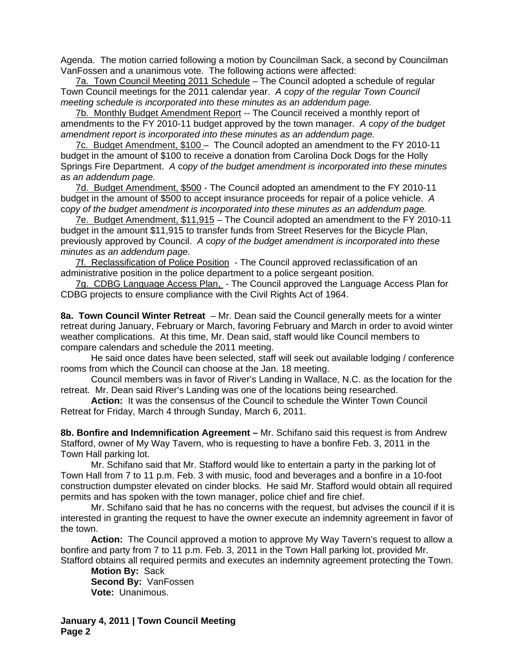Agenda. The motion carried following a motion by Councilman Sack, a second by Councilman VanFossen and a unanimous vote. The following actions were affected:

7a. Town Council Meeting 2011 Schedule – The Council adopted a schedule of regular Town Council meetings for the 2011 calendar year. *A* c*opy of the regular Town Council meeting schedule is incorporated into these minutes as an addendum page.*

7b. Monthly Budget Amendment Report -- The Council received a monthly report of amendments to the FY 2010-11 budget approved by the town manager. *A* c*opy of the budget amendment report is incorporated into these minutes as an addendum page.*

7c. Budget Amendment, \$100 – The Council adopted an amendment to the FY 2010-11 budget in the amount of \$100 to receive a donation from Carolina Dock Dogs for the Holly Springs Fire Department. *A* c*opy of the budget amendment is incorporated into these minutes as an addendum page.*

7d. Budget Amendment, \$500 - The Council adopted an amendment to the FY 2010-11 budget in the amount of \$500 to accept insurance proceeds for repair of a police vehicle.*A*  c*opy of the budget amendment is incorporated into these minutes as an addendum page.*

7e. Budget Amendment, \$11,915 – The Council adopted an amendment to the FY 2010-11 budget in the amount \$11,915 to transfer funds from Street Reserves for the Bicycle Plan, previously approved by Council. *A* c*opy of the budget amendment is incorporated into these minutes as an addendum page.*

7f. Reclassification of Police Position - The Council approved reclassification of an administrative position in the police department to a police sergeant position.

7g. CDBG Language Access Plan, - The Council approved the Language Access Plan for CDBG projects to ensure compliance with the Civil Rights Act of 1964.

**8a. Town Council Winter Retreat** – Mr. Dean said the Council generally meets for a winter retreat during January, February or March, favoring February and March in order to avoid winter weather complications. At this time, Mr. Dean said, staff would like Council members to compare calendars and schedule the 2011 meeting.

 He said once dates have been selected, staff will seek out available lodging / conference rooms from which the Council can choose at the Jan. 18 meeting.

Council members was in favor of River's Landing in Wallace, N.C. as the location for the retreat. Mr. Dean said River's Landing was one of the locations being researched.

**Action:** It was the consensus of the Council to schedule the Winter Town Council Retreat for Friday, March 4 through Sunday, March 6, 2011.

**8b. Bonfire and Indemnification Agreement –** Mr. Schifano said this request is from Andrew Stafford, owner of My Way Tavern, who is requesting to have a bonfire Feb. 3, 2011 in the Town Hall parking lot.

Mr. Schifano said that Mr. Stafford would like to entertain a party in the parking lot of Town Hall from 7 to 11 p.m. Feb. 3 with music, food and beverages and a bonfire in a 10-foot construction dumpster elevated on cinder blocks. He said Mr. Stafford would obtain all required permits and has spoken with the town manager, police chief and fire chief.

 Mr. Schifano said that he has no concerns with the request, but advises the council if it is interested in granting the request to have the owner execute an indemnity agreement in favor of the town.

**Action:** The Council approved a motion to approve My Way Tavern's request to allow a bonfire and party from 7 to 11 p.m. Feb. 3, 2011 in the Town Hall parking lot, provided Mr. Stafford obtains all required permits and executes an indemnity agreement protecting the Town.

**Motion By:** Sack **Second By:** VanFossen **Vote:** Unanimous.

**January 4, 2011 | Town Council Meeting Page 2**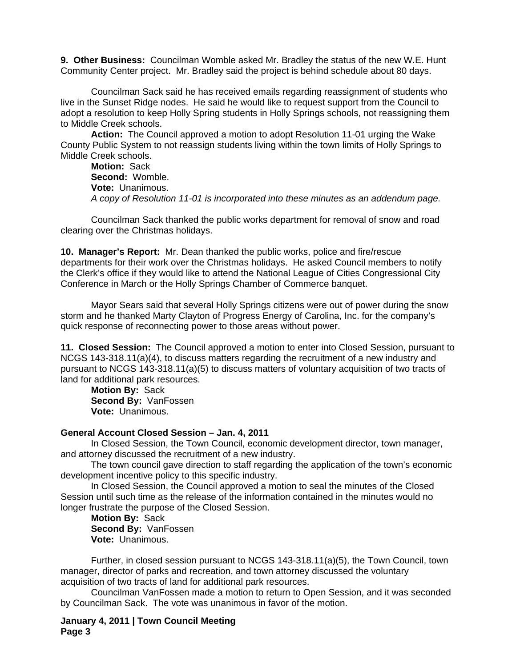**9. Other Business:** Councilman Womble asked Mr. Bradley the status of the new W.E. Hunt Community Center project. Mr. Bradley said the project is behind schedule about 80 days.

Councilman Sack said he has received emails regarding reassignment of students who live in the Sunset Ridge nodes. He said he would like to request support from the Council to adopt a resolution to keep Holly Spring students in Holly Springs schools, not reassigning them to Middle Creek schools.

**Action:** The Council approved a motion to adopt Resolution 11-01 urging the Wake County Public System to not reassign students living within the town limits of Holly Springs to Middle Creek schools.

**Motion:** Sack **Second:** Womble. **Vote:** Unanimous. *A copy of Resolution 11-01 is incorporated into these minutes as an addendum page.* 

Councilman Sack thanked the public works department for removal of snow and road clearing over the Christmas holidays.

**10. Manager's Report:** Mr. Dean thanked the public works, police and fire/rescue departments for their work over the Christmas holidays. He asked Council members to notify the Clerk's office if they would like to attend the National League of Cities Congressional City Conference in March or the Holly Springs Chamber of Commerce banquet.

Mayor Sears said that several Holly Springs citizens were out of power during the snow storm and he thanked Marty Clayton of Progress Energy of Carolina, Inc. for the company's quick response of reconnecting power to those areas without power.

**11. Closed Session:** The Council approved a motion to enter into Closed Session, pursuant to NCGS 143-318.11(a)(4), to discuss matters regarding the recruitment of a new industry and pursuant to NCGS 143-318.11(a)(5) to discuss matters of voluntary acquisition of two tracts of land for additional park resources.

**Motion By:** Sack **Second By:** VanFossen **Vote:** Unanimous.

## **General Account Closed Session – Jan. 4, 2011**

In Closed Session, the Town Council, economic development director, town manager, and attorney discussed the recruitment of a new industry.

The town council gave direction to staff regarding the application of the town's economic development incentive policy to this specific industry.

In Closed Session, the Council approved a motion to seal the minutes of the Closed Session until such time as the release of the information contained in the minutes would no longer frustrate the purpose of the Closed Session.

**Motion By:** Sack **Second By:** VanFossen **Vote:** Unanimous.

Further, in closed session pursuant to NCGS 143-318.11(a)(5), the Town Council, town manager, director of parks and recreation, and town attorney discussed the voluntary acquisition of two tracts of land for additional park resources.

Councilman VanFossen made a motion to return to Open Session, and it was seconded by Councilman Sack. The vote was unanimous in favor of the motion.

**January 4, 2011 | Town Council Meeting Page 3**